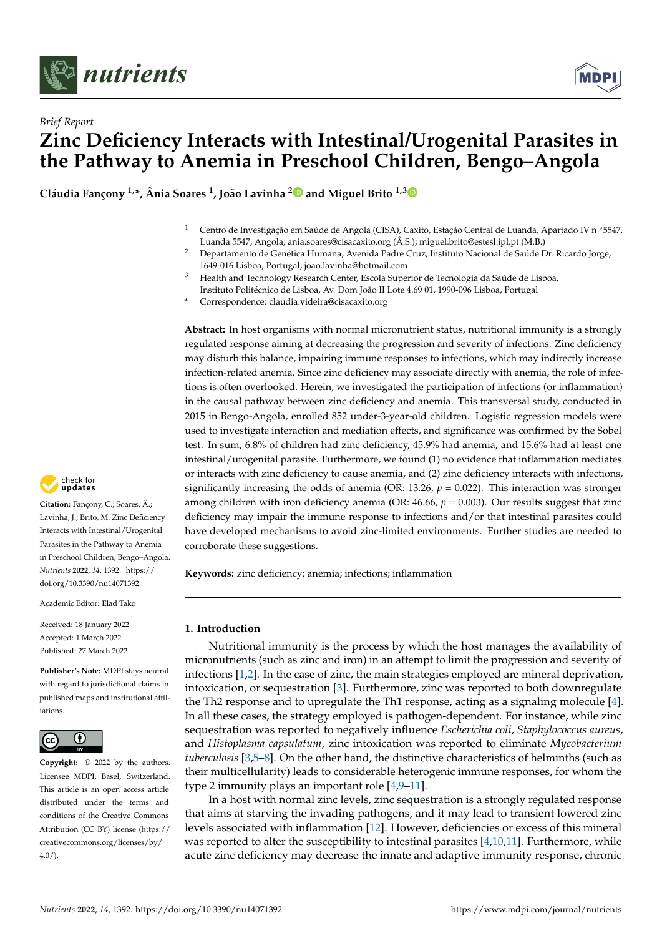



# *Brief Report* **Zinc Deficiency Interacts with Intestinal/Urogenital Parasites in the Pathway to Anemia in Preschool Children, Bengo–Angola**

**Cláudia Fançony 1,\*, Ânia Soares <sup>1</sup> , João Lavinha [2](https://orcid.org/0000-0002-7474-6871) and Miguel Brito 1,[3](https://orcid.org/0000-0001-6394-658X)**

- 1 Centro de Investigação em Saúde de Angola (CISA), Caxito, Estação Central de Luanda, Apartado IV n °5547, Luanda 5547, Angola; ania.soares@cisacaxito.org (Â.S.); miguel.brito@estesl.ipl.pt (M.B.)
- <sup>2</sup> Departamento de Genética Humana, Avenida Padre Cruz, Instituto Nacional de Saúde Dr. Ricardo Jorge, 1649-016 Lisboa, Portugal; joao.lavinha@hotmail.com
- <sup>3</sup> Health and Technology Research Center, Escola Superior de Tecnologia da Saúde de Lisboa, Instituto Politécnico de Lisboa, Av. Dom João II Lote 4.69 01, 1990-096 Lisboa, Portugal
- **\*** Correspondence: claudia.videira@cisacaxito.org

**Abstract:** In host organisms with normal micronutrient status, nutritional immunity is a strongly regulated response aiming at decreasing the progression and severity of infections. Zinc deficiency may disturb this balance, impairing immune responses to infections, which may indirectly increase infection-related anemia. Since zinc deficiency may associate directly with anemia, the role of infections is often overlooked. Herein, we investigated the participation of infections (or inflammation) in the causal pathway between zinc deficiency and anemia. This transversal study, conducted in 2015 in Bengo-Angola, enrolled 852 under-3-year-old children. Logistic regression models were used to investigate interaction and mediation effects, and significance was confirmed by the Sobel test. In sum, 6.8% of children had zinc deficiency, 45.9% had anemia, and 15.6% had at least one intestinal/urogenital parasite. Furthermore, we found (1) no evidence that inflammation mediates or interacts with zinc deficiency to cause anemia, and (2) zinc deficiency interacts with infections, significantly increasing the odds of anemia (OR: 13.26,  $p = 0.022$ ). This interaction was stronger among children with iron deficiency anemia (OR: 46.66,  $p = 0.003$ ). Our results suggest that zinc deficiency may impair the immune response to infections and/or that intestinal parasites could have developed mechanisms to avoid zinc-limited environments. Further studies are needed to corroborate these suggestions.

**Keywords:** zinc deficiency; anemia; infections; inflammation

## **1. Introduction**

Nutritional immunity is the process by which the host manages the availability of micronutrients (such as zinc and iron) in an attempt to limit the progression and severity of infections [\[1,](#page-7-0)[2\]](#page-7-1). In the case of zinc, the main strategies employed are mineral deprivation, intoxication, or sequestration [\[3\]](#page-7-2). Furthermore, zinc was reported to both downregulate the Th2 response and to upregulate the Th1 response, acting as a signaling molecule [\[4\]](#page-7-3). In all these cases, the strategy employed is pathogen-dependent. For instance, while zinc sequestration was reported to negatively influence *Escherichia coli*, *Staphylococcus aureus*, and *Histoplasma capsulatum*, zinc intoxication was reported to eliminate *Mycobacterium tuberculosis* [\[3](#page-7-2)[,5–](#page-7-4)[8\]](#page-7-5). On the other hand, the distinctive characteristics of helminths (such as their multicellularity) leads to considerable heterogenic immune responses, for whom the type 2 immunity plays an important role [\[4,](#page-7-3)[9–](#page-7-6)[11\]](#page-7-7).

In a host with normal zinc levels, zinc sequestration is a strongly regulated response that aims at starving the invading pathogens, and it may lead to transient lowered zinc levels associated with inflammation [\[12\]](#page-7-8). However, deficiencies or excess of this mineral was reported to alter the susceptibility to intestinal parasites  $[4,10,11]$  $[4,10,11]$  $[4,10,11]$ . Furthermore, while acute zinc deficiency may decrease the innate and adaptive immunity response, chronic



**Citation:** Fançony, C.; Soares, Â.; Lavinha, J.; Brito, M. Zinc Deficiency Interacts with Intestinal/Urogenital Parasites in the Pathway to Anemia in Preschool Children, Bengo–Angola. *Nutrients* **2022**, *14*, 1392. [https://](https://doi.org/10.3390/nu14071392) [doi.org/10.3390/nu14071392](https://doi.org/10.3390/nu14071392)

Academic Editor: Elad Tako

Received: 18 January 2022 Accepted: 1 March 2022 Published: 27 March 2022

**Publisher's Note:** MDPI stays neutral with regard to jurisdictional claims in published maps and institutional affiliations.



**Copyright:** © 2022 by the authors. Licensee MDPI, Basel, Switzerland. This article is an open access article distributed under the terms and conditions of the Creative Commons Attribution (CC BY) license [\(https://](https://creativecommons.org/licenses/by/4.0/) [creativecommons.org/licenses/by/](https://creativecommons.org/licenses/by/4.0/)  $4.0/$ ).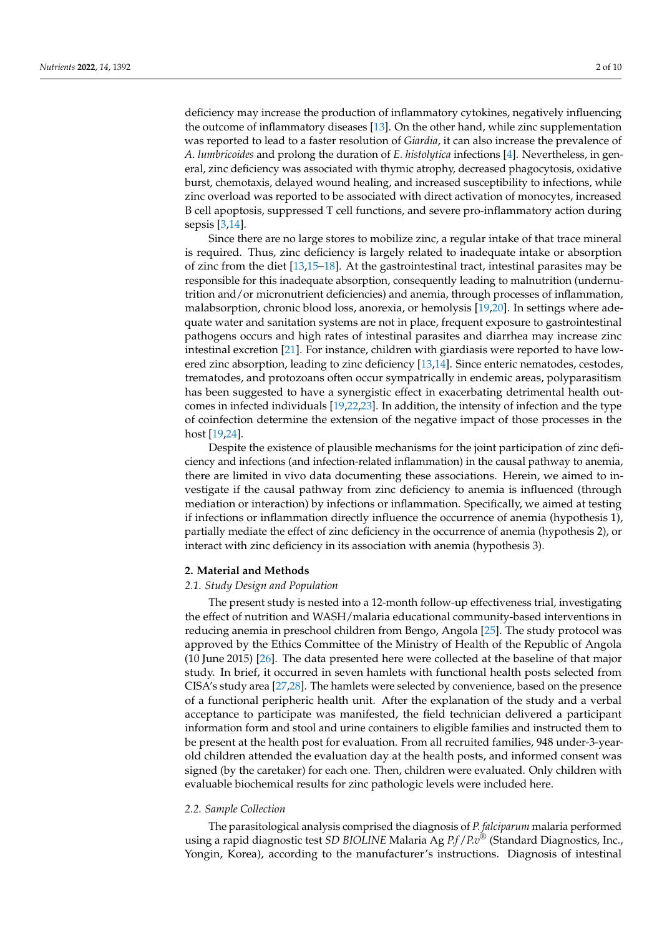deficiency may increase the production of inflammatory cytokines, negatively influencing the outcome of inflammatory diseases [\[13\]](#page-7-10). On the other hand, while zinc supplementation was reported to lead to a faster resolution of *Giardia*, it can also increase the prevalence of *A*. *lumbricoides* and prolong the duration of *E. histolytica* infections [\[4\]](#page-7-3). Nevertheless, in general, zinc deficiency was associated with thymic atrophy, decreased phagocytosis, oxidative burst, chemotaxis, delayed wound healing, and increased susceptibility to infections, while zinc overload was reported to be associated with direct activation of monocytes, increased B cell apoptosis, suppressed T cell functions, and severe pro-inflammatory action during sepsis [\[3,](#page-7-2)[14\]](#page-8-0).

Since there are no large stores to mobilize zinc, a regular intake of that trace mineral is required. Thus, zinc deficiency is largely related to inadequate intake or absorption of zinc from the diet [\[13](#page-7-10)[,15](#page-8-1)[–18\]](#page-8-2). At the gastrointestinal tract, intestinal parasites may be responsible for this inadequate absorption, consequently leading to malnutrition (undernutrition and/or micronutrient deficiencies) and anemia, through processes of inflammation, malabsorption, chronic blood loss, anorexia, or hemolysis [\[19](#page-8-3)[,20\]](#page-8-4). In settings where adequate water and sanitation systems are not in place, frequent exposure to gastrointestinal pathogens occurs and high rates of intestinal parasites and diarrhea may increase zinc intestinal excretion [\[21\]](#page-8-5). For instance, children with giardiasis were reported to have lowered zinc absorption, leading to zinc deficiency [\[13,](#page-7-10)[14\]](#page-8-0). Since enteric nematodes, cestodes, trematodes, and protozoans often occur sympatrically in endemic areas, polyparasitism has been suggested to have a synergistic effect in exacerbating detrimental health outcomes in infected individuals [\[19](#page-8-3)[,22,](#page-8-6)[23\]](#page-8-7). In addition, the intensity of infection and the type of coinfection determine the extension of the negative impact of those processes in the host [\[19](#page-8-3)[,24\]](#page-8-8).

Despite the existence of plausible mechanisms for the joint participation of zinc deficiency and infections (and infection-related inflammation) in the causal pathway to anemia, there are limited in vivo data documenting these associations. Herein, we aimed to investigate if the causal pathway from zinc deficiency to anemia is influenced (through mediation or interaction) by infections or inflammation. Specifically, we aimed at testing if infections or inflammation directly influence the occurrence of anemia (hypothesis 1), partially mediate the effect of zinc deficiency in the occurrence of anemia (hypothesis 2), or interact with zinc deficiency in its association with anemia (hypothesis 3).

## **2. Material and Methods**

## *2.1. Study Design and Population*

The present study is nested into a 12-month follow-up effectiveness trial, investigating the effect of nutrition and WASH/malaria educational community-based interventions in reducing anemia in preschool children from Bengo, Angola [\[25\]](#page-8-9). The study protocol was approved by the Ethics Committee of the Ministry of Health of the Republic of Angola (10 June 2015) [\[26\]](#page-8-10). The data presented here were collected at the baseline of that major study. In brief, it occurred in seven hamlets with functional health posts selected from CISA's study area [\[27](#page-8-11)[,28\]](#page-8-12). The hamlets were selected by convenience, based on the presence of a functional peripheric health unit. After the explanation of the study and a verbal acceptance to participate was manifested, the field technician delivered a participant information form and stool and urine containers to eligible families and instructed them to be present at the health post for evaluation. From all recruited families, 948 under-3-yearold children attended the evaluation day at the health posts, and informed consent was signed (by the caretaker) for each one. Then, children were evaluated. Only children with evaluable biochemical results for zinc pathologic levels were included here.

## *2.2. Sample Collection*

The parasitological analysis comprised the diagnosis of *P. falciparum* malaria performed using a rapid diagnostic test *SD BIOLINE* Malaria Ag *P.f*/*P.v®* (Standard Diagnostics, Inc., Yongin, Korea), according to the manufacturer's instructions. Diagnosis of intestinal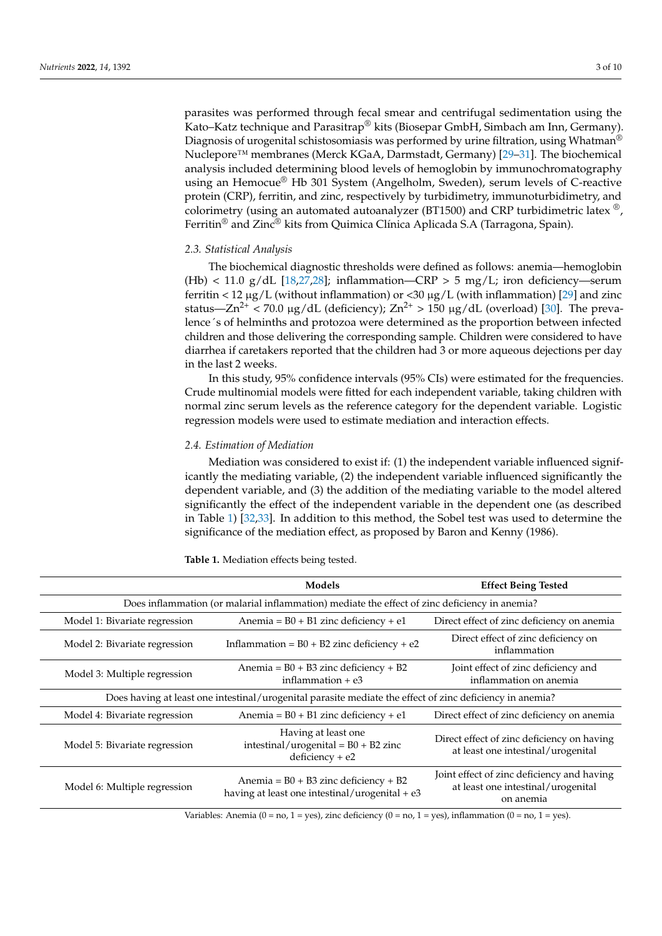parasites was performed through fecal smear and centrifugal sedimentation using the Kato–Katz technique and Parasitrap<sup>®</sup> kits (Biosepar GmbH, Simbach am Inn, Germany). Diagnosis of urogenital schistosomiasis was performed by urine filtration, using Whatman<sup>®</sup> Nuclepore™ membranes (Merck KGaA, Darmstadt, Germany) [\[29](#page-8-13)[–31\]](#page-8-14). The biochemical analysis included determining blood levels of hemoglobin by immunochromatography using an Hemocue® Hb 301 System (Angelholm, Sweden), serum levels of C-reactive protein (CRP), ferritin, and zinc, respectively by turbidimetry, immunoturbidimetry, and colorimetry (using an automated autoanalyzer (BT1500) and CRP turbidimetric latex  $^{\circledR}$ , Ferritin<sup>®</sup> and Zinc<sup>®</sup> kits from Quimica Clínica Aplicada S.A (Tarragona, Spain).

# *2.3. Statistical Analysis*

The biochemical diagnostic thresholds were defined as follows: anemia—hemoglobin (Hb) < 11.0 g/dL [\[18](#page-8-2)[,27](#page-8-11)[,28\]](#page-8-12); inflammation—CRP > 5 mg/L; iron deficiency—serum ferritin < 12  $\mu$ g/L (without inflammation) or < 30  $\mu$ g/L (with inflammation) [\[29\]](#page-8-13) and zinc status—Zn<sup>2+</sup> < 70.0 µg/dL (deficiency);  $Zn^{2+}$  > 150 µg/dL (overload) [\[30\]](#page-8-15). The prevalence´s of helminths and protozoa were determined as the proportion between infected children and those delivering the corresponding sample. Children were considered to have diarrhea if caretakers reported that the children had 3 or more aqueous dejections per day in the last 2 weeks.

In this study, 95% confidence intervals (95% CIs) were estimated for the frequencies. Crude multinomial models were fitted for each independent variable, taking children with normal zinc serum levels as the reference category for the dependent variable. Logistic regression models were used to estimate mediation and interaction effects.

## *2.4. Estimation of Mediation*

Mediation was considered to exist if: (1) the independent variable influenced significantly the mediating variable, (2) the independent variable influenced significantly the dependent variable, and (3) the addition of the mediating variable to the model altered significantly the effect of the independent variable in the dependent one (as described in Table [1\)](#page-2-0) [\[32](#page-8-16)[,33\]](#page-8-17). In addition to this method, the Sobel test was used to determine the significance of the mediation effect, as proposed by Baron and Kenny (1986).

|                                                                                                          | Models                                                                                      | <b>Effect Being Tested</b>                                                                    |  |  |  |
|----------------------------------------------------------------------------------------------------------|---------------------------------------------------------------------------------------------|-----------------------------------------------------------------------------------------------|--|--|--|
| Does inflammation (or malarial inflammation) mediate the effect of zinc deficiency in anemia?            |                                                                                             |                                                                                               |  |  |  |
| Model 1: Bivariate regression                                                                            | Anemia = $B0 + B1$ zinc deficiency + e1                                                     | Direct effect of zinc deficiency on anemia                                                    |  |  |  |
| Model 2: Bivariate regression                                                                            | Inflammation = $B0 + B2$ zinc deficiency + e2                                               | Direct effect of zinc deficiency on<br>inflammation                                           |  |  |  |
| Model 3: Multiple regression                                                                             | Anemia = $B0 + B3$ zinc deficiency + B2<br>inflammation $+e3$                               | Joint effect of zinc deficiency and<br>inflammation on anemia                                 |  |  |  |
| Does having at least one intestinal/urogenital parasite mediate the effect of zinc deficiency in anemia? |                                                                                             |                                                                                               |  |  |  |
| Model 4: Bivariate regression                                                                            | Anemia = $B0 + B1$ zinc deficiency + e1                                                     | Direct effect of zinc deficiency on anemia                                                    |  |  |  |
| Model 5: Bivariate regression                                                                            | Having at least one<br>intestinal/urogenital = $B0 + B2$ zinc<br>$deficiency + e2$          | Direct effect of zinc deficiency on having<br>at least one intestinal/urogenital              |  |  |  |
| Model 6: Multiple regression                                                                             | Anemia = $B0 + B3$ zinc deficiency + B2<br>having at least one intestinal/urogenital + $e3$ | Joint effect of zinc deficiency and having<br>at least one intestinal/urogenital<br>on anemia |  |  |  |
| Variables: Anemia (0 = no, 1 = yes), zinc deficiency (0 = no, 1 = yes), inflammation (0 = no, 1 = yes).  |                                                                                             |                                                                                               |  |  |  |

<span id="page-2-0"></span>**Table 1.** Mediation effects being tested.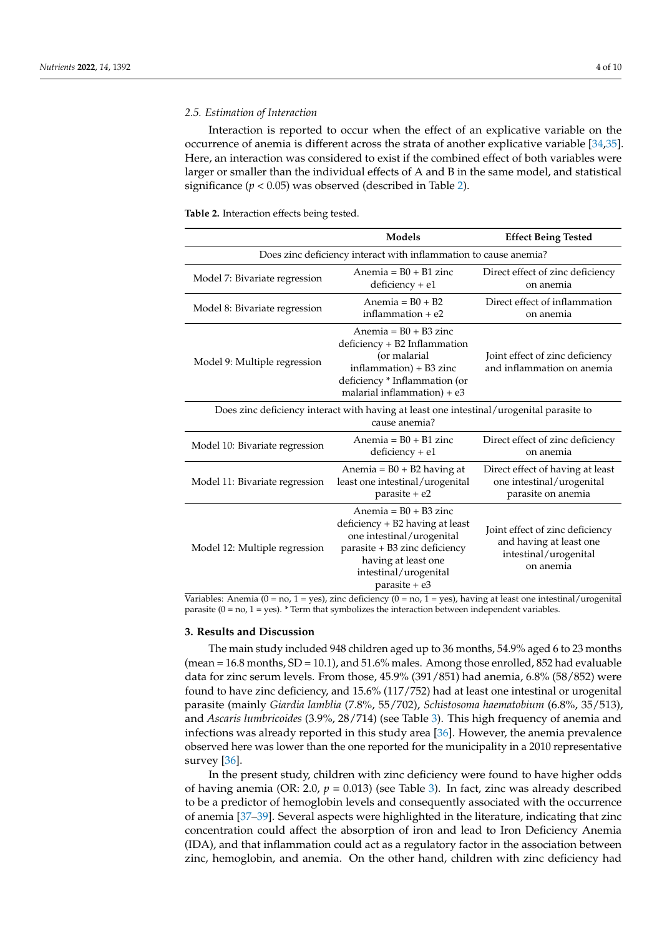## *2.5. Estimation of Interaction*

Interaction is reported to occur when the effect of an explicative variable on the occurrence of anemia is different across the strata of another explicative variable [\[34,](#page-8-18)[35\]](#page-8-19). Here, an interaction was considered to exist if the combined effect of both variables were larger or smaller than the individual effects of A and B in the same model, and statistical significance  $(p < 0.05)$  was observed (described in Table [2\)](#page-3-0).

<span id="page-3-0"></span>**Table 2.** Interaction effects being tested.

|                                                                                                           | Models                                                                                                                                                                                    | <b>Effect Being Tested</b>                                                                       |  |  |  |
|-----------------------------------------------------------------------------------------------------------|-------------------------------------------------------------------------------------------------------------------------------------------------------------------------------------------|--------------------------------------------------------------------------------------------------|--|--|--|
| Does zinc deficiency interact with inflammation to cause anemia?                                          |                                                                                                                                                                                           |                                                                                                  |  |  |  |
| Model 7: Bivariate regression                                                                             | Anemia = $B0 + B1$ zinc<br>$deficiency + e1$                                                                                                                                              | Direct effect of zinc deficiency<br>on anemia                                                    |  |  |  |
| Model 8: Bivariate regression                                                                             | Anemia = $B0 + B2$<br>inflammation $+e2$                                                                                                                                                  | Direct effect of inflammation<br>on anemia                                                       |  |  |  |
| Model 9: Multiple regression                                                                              | Anemia = $B0 + B3$ zinc<br>deficiency + B2 Inflammation<br>(or malarial<br>$inflammation$ ) + B3 zinc<br>deficiency * Inflammation (or<br>malarial inflammation $) + e3$                  | Joint effect of zinc deficiency<br>and inflammation on anemia                                    |  |  |  |
| Does zinc deficiency interact with having at least one intestinal/urogenital parasite to<br>cause anemia? |                                                                                                                                                                                           |                                                                                                  |  |  |  |
| Model 10: Bivariate regression                                                                            | Anemia = $B0 + B1$ zinc<br>$deficiency + e1$                                                                                                                                              | Direct effect of zinc deficiency<br>on anemia                                                    |  |  |  |
| Model 11: Bivariate regression                                                                            | Anemia = $B0 + B2$ having at<br>least one intestinal/urogenital<br>parasite + e2                                                                                                          | Direct effect of having at least<br>one intestinal/urogenital<br>parasite on anemia              |  |  |  |
| Model 12: Multiple regression                                                                             | Anemia = $B0 + B3$ zinc<br>deficiency + B2 having at least<br>one intestinal/urogenital<br>parasite + B3 zinc deficiency<br>having at least one<br>intestinal/urogenital<br>parasite + e3 | Joint effect of zinc deficiency<br>and having at least one<br>intestinal/urogenital<br>on anemia |  |  |  |

Variables: Anemia (0 = no, 1 = yes), zinc deficiency (0 = no, 1 = yes), having at least one intestinal/urogenital parasite ( $0 = \text{no}$ ,  $1 = \text{yes}$ ).  $*$  Term that symbolizes the interaction between independent variables.

## **3. Results and Discussion**

The main study included 948 children aged up to 36 months, 54.9% aged 6 to 23 months  $($ mean = 16.8 months, SD = 10.1), and 51.6% males. Among those enrolled, 852 had evaluable data for zinc serum levels. From those, 45.9% (391/851) had anemia, 6.8% (58/852) were found to have zinc deficiency, and 15.6% (117/752) had at least one intestinal or urogenital parasite (mainly *Giardia lamblia* (7.8%, 55/702), *Schistosoma haematobium* (6.8%, 35/513), and *Ascaris lumbricoides* (3.9%, 28/714) (see Table [3\)](#page-4-0). This high frequency of anemia and infections was already reported in this study area [\[36\]](#page-8-20). However, the anemia prevalence observed here was lower than the one reported for the municipality in a 2010 representative survey [\[36\]](#page-8-20).

In the present study, children with zinc deficiency were found to have higher odds of having anemia (OR: 2.0,  $p = 0.013$ ) (see Table [3\)](#page-4-0). In fact, zinc was already described to be a predictor of hemoglobin levels and consequently associated with the occurrence of anemia [\[37](#page-8-21)[–39\]](#page-8-22). Several aspects were highlighted in the literature, indicating that zinc concentration could affect the absorption of iron and lead to Iron Deficiency Anemia (IDA), and that inflammation could act as a regulatory factor in the association between zinc, hemoglobin, and anemia. On the other hand, children with zinc deficiency had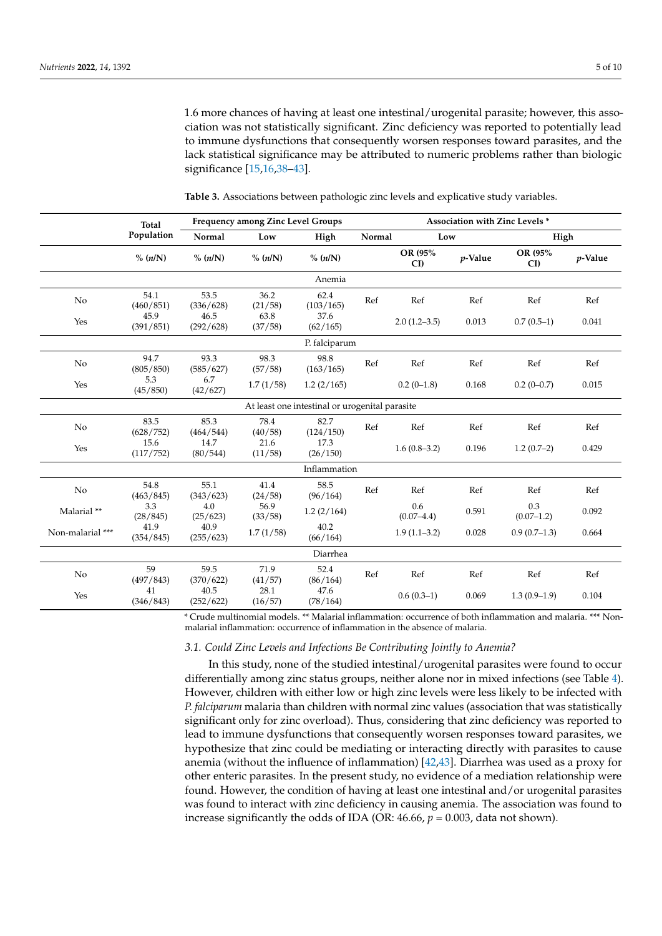1.6 more chances of having at least one intestinal/urogenital parasite; however, this association was not statistically significant. Zinc deficiency was reported to potentially lead to immune dysfunctions that consequently worsen responses toward parasites, and the lack statistical significance may be attributed to numeric problems rather than biologic significance [\[15](#page-8-1)[,16](#page-8-23)[,38–](#page-8-24)[43\]](#page-9-0).

|                                                | <b>Frequency among Zinc Level Groups</b><br>Total |                   | Association with Zinc Levels * |                   |        |                       |            |                     |            |  |
|------------------------------------------------|---------------------------------------------------|-------------------|--------------------------------|-------------------|--------|-----------------------|------------|---------------------|------------|--|
|                                                | Population                                        | Normal            | Low                            | High              | Normal |                       | Low        |                     | High       |  |
|                                                | % (n/N)                                           | % (n/N)           | % (n/N)                        | % (n/N)           |        | OR (95%<br>CD         | $p$ -Value | OR (95%<br>CI       | $p$ -Value |  |
|                                                |                                                   |                   |                                | Anemia            |        |                       |            |                     |            |  |
| No                                             | 54.1<br>(460/851)                                 | 53.5<br>(336/628) | 36.2<br>(21/58)                | 62.4<br>(103/165) | Ref    | Ref                   | Ref        | Ref                 | Ref        |  |
| Yes                                            | 45.9<br>(391/851)                                 | 46.5<br>(292/628) | 63.8<br>(37/58)                | 37.6<br>(62/165)  |        | $2.0(1.2-3.5)$        | 0.013      | $0.7(0.5-1)$        | 0.041      |  |
|                                                |                                                   |                   |                                | P. falciparum     |        |                       |            |                     |            |  |
| N <sub>o</sub>                                 | 94.7<br>(805/850)                                 | 93.3<br>(585/627) | 98.3<br>(57/58)                | 98.8<br>(163/165) | Ref    | Ref                   | Ref        | Ref                 | Ref        |  |
| Yes                                            | 5.3<br>(45/850)                                   | 6.7<br>(42/627)   | 1.7(1/58)                      | 1.2(2/165)        |        | $0.2(0-1.8)$          | 0.168      | $0.2(0-0.7)$        | 0.015      |  |
| At least one intestinal or urogenital parasite |                                                   |                   |                                |                   |        |                       |            |                     |            |  |
| No                                             | 83.5<br>(628/752)                                 | 85.3<br>(464/544) | 78.4<br>(40/58)                | 82.7<br>(124/150) | Ref    | Ref                   | Ref        | Ref                 | Ref        |  |
| Yes                                            | 15.6<br>(117/752)                                 | 14.7<br>(80/544)  | 21.6<br>(11/58)                | 17.3<br>(26/150)  |        | $1.6(0.8-3.2)$        | 0.196      | $1.2(0.7-2)$        | 0.429      |  |
| Inflammation                                   |                                                   |                   |                                |                   |        |                       |            |                     |            |  |
| No                                             | 54.8<br>(463/845)                                 | 55.1<br>(343/623) | 41.4<br>(24/58)                | 58.5<br>(96/164)  | Ref    | Ref                   | Ref        | Ref                 | Ref        |  |
| Malarial **                                    | 3.3<br>(28/845)                                   | 4.0<br>(25/623)   | 56.9<br>(33/58)                | 1.2(2/164)        |        | 0.6<br>$(0.07 - 4.4)$ | 0.591      | 0.3<br>$(0.07-1.2)$ | 0.092      |  |
| Non-malarial ***                               | 41.9<br>(354/845)                                 | 40.9<br>(255/623) | 1.7(1/58)                      | 40.2<br>(66/164)  |        | $1.9(1.1-3.2)$        | 0.028      | $0.9(0.7-1.3)$      | 0.664      |  |
|                                                |                                                   |                   |                                | Diarrhea          |        |                       |            |                     |            |  |
| N <sub>o</sub>                                 | 59<br>(497/843)                                   | 59.5<br>(370/622) | 71.9<br>(41/57)                | 52.4<br>(86/164)  | Ref    | Ref                   | Ref        | Ref                 | Ref        |  |
| Yes                                            | 41<br>(346/843)                                   | 40.5<br>(252/622) | 28.1<br>(16/57)                | 47.6<br>(78/164)  |        | $0.6(0.3-1)$          | 0.069      | $1.3(0.9-1.9)$      | 0.104      |  |

<span id="page-4-0"></span>**Table 3.** Associations between pathologic zinc levels and explicative study variables.

\* Crude multinomial models. \*\* Malarial inflammation: occurrence of both inflammation and malaria. \*\*\* Nonmalarial inflammation: occurrence of inflammation in the absence of malaria.

## *3.1. Could Zinc Levels and Infections Be Contributing Jointly to Anemia?*

In this study, none of the studied intestinal/urogenital parasites were found to occur differentially among zinc status groups, neither alone nor in mixed infections (see Table [4\)](#page-5-0). However, children with either low or high zinc levels were less likely to be infected with *P. falciparum* malaria than children with normal zinc values (association that was statistically significant only for zinc overload). Thus, considering that zinc deficiency was reported to lead to immune dysfunctions that consequently worsen responses toward parasites, we hypothesize that zinc could be mediating or interacting directly with parasites to cause anemia (without the influence of inflammation) [\[42](#page-8-25)[,43\]](#page-9-0). Diarrhea was used as a proxy for other enteric parasites. In the present study, no evidence of a mediation relationship were found. However, the condition of having at least one intestinal and/or urogenital parasites was found to interact with zinc deficiency in causing anemia. The association was found to increase significantly the odds of IDA (OR:  $46.66$ ,  $p = 0.003$ , data not shown).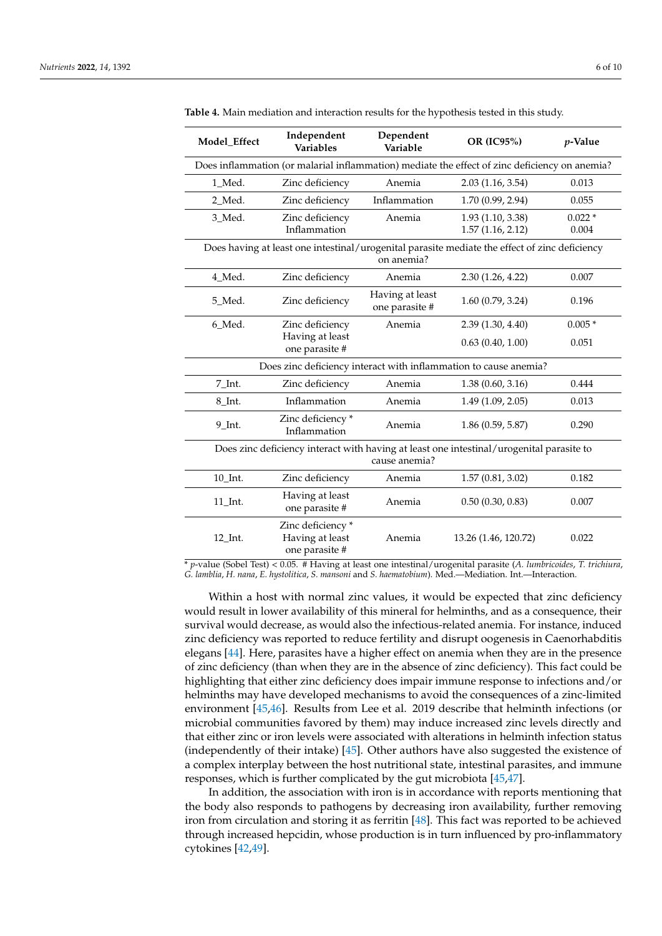| Model_Effect                                                                                                | Independent<br><b>Variables</b>                                                               | Dependent<br>Variable             | OR (IC95%)                                         | $p$ -Value                |  |  |
|-------------------------------------------------------------------------------------------------------------|-----------------------------------------------------------------------------------------------|-----------------------------------|----------------------------------------------------|---------------------------|--|--|
|                                                                                                             | Does inflammation (or malarial inflammation) mediate the effect of zinc deficiency on anemia? |                                   |                                                    |                           |  |  |
| 1 Med.                                                                                                      | Zinc deficiency                                                                               | Anemia                            | 2.03(1.16, 3.54)                                   | 0.013                     |  |  |
| 2 Med.                                                                                                      | Zinc deficiency                                                                               | Inflammation                      | 1.70 (0.99, 2.94)                                  | 0.055                     |  |  |
| 3_Med.                                                                                                      | Zinc deficiency<br>Inflammation                                                               | Anemia                            | 1.93 (1.10, 3.38)<br>1.57(1.16, 2.12)              | $0.022*$<br>0.004         |  |  |
| Does having at least one intestinal/urogenital parasite mediate the effect of zinc deficiency<br>on anemia? |                                                                                               |                                   |                                                    |                           |  |  |
| 4 Med.                                                                                                      | Zinc deficiency                                                                               | Anemia                            | 2.30(1.26, 4.22)                                   | 0.007                     |  |  |
| 5 Med.                                                                                                      | Zinc deficiency                                                                               | Having at least<br>one parasite # | 1.60(0.79, 3.24)                                   | 0.196                     |  |  |
| 6_Med.                                                                                                      | Zinc deficiency                                                                               | Anemia                            | 2.39(1.30, 4.40)                                   | $0.005*$                  |  |  |
|                                                                                                             | Having at least<br>one parasite #                                                             |                                   | 0.63(0.40, 1.00)                                   | 0.051                     |  |  |
| Does zinc deficiency interact with inflammation to cause anemia?                                            |                                                                                               |                                   |                                                    |                           |  |  |
| 7_Int.                                                                                                      | Zinc deficiency                                                                               | Anemia                            | 1.38(0.60, 3.16)                                   | 0.444                     |  |  |
| 8_Int.                                                                                                      | Inflammation                                                                                  | Anemia                            | 1.49(1.09, 2.05)                                   | 0.013                     |  |  |
| $9$ Int.                                                                                                    | Zinc deficiency*<br>Inflammation                                                              | Anemia                            | 1.86(0.59, 5.87)                                   | 0.290                     |  |  |
| Does zinc deficiency interact with having at least one intestinal/urogenital parasite to<br>cause anemia?   |                                                                                               |                                   |                                                    |                           |  |  |
| 10 Int.                                                                                                     | Zinc deficiency                                                                               | Anemia                            | 1.57(0.81, 3.02)                                   | 0.182                     |  |  |
| $11$ _Int.                                                                                                  | Having at least<br>one parasite #                                                             | Anemia                            | 0.50(0.30, 0.83)                                   | 0.007                     |  |  |
| $12$ _Int.<br>$(C - 1 - 1)$                                                                                 | Zinc deficiency*<br>Having at least<br>one parasite #<br>$0.05 \pm 11$                        | Anemia<br>$-1/$                   | 13.26 (1.46, 120.72)<br>$14 - 1$ $-$<br>$\sqrt{4}$ | 0.022<br>$T_{\text{eff}}$ |  |  |

<span id="page-5-0"></span>**Table 4.** Main mediation and interaction results for the hypothesis tested in this study.

\* *p*-value (Sobel Test) < 0.05. # Having at least one intestinal/urogenital parasite (*A. lumbricoides*, *T. trichiura*, *G. lamblia*, *H. nana*, *E. hystolitica*, *S. mansoni* and *S. haematobium*). Med.—Mediation. Int.—Interaction.

Within a host with normal zinc values, it would be expected that zinc deficiency would result in lower availability of this mineral for helminths, and as a consequence, their survival would decrease, as would also the infectious-related anemia. For instance, induced zinc deficiency was reported to reduce fertility and disrupt oogenesis in Caenorhabditis elegans [\[44\]](#page-9-1). Here, parasites have a higher effect on anemia when they are in the presence of zinc deficiency (than when they are in the absence of zinc deficiency). This fact could be highlighting that either zinc deficiency does impair immune response to infections and/or helminths may have developed mechanisms to avoid the consequences of a zinc-limited environment [\[45](#page-9-2)[,46\]](#page-9-3). Results from Lee et al. 2019 describe that helminth infections (or microbial communities favored by them) may induce increased zinc levels directly and that either zinc or iron levels were associated with alterations in helminth infection status (independently of their intake) [\[45\]](#page-9-2). Other authors have also suggested the existence of a complex interplay between the host nutritional state, intestinal parasites, and immune responses, which is further complicated by the gut microbiota [\[45,](#page-9-2)[47\]](#page-9-4).

In addition, the association with iron is in accordance with reports mentioning that the body also responds to pathogens by decreasing iron availability, further removing iron from circulation and storing it as ferritin [\[48\]](#page-9-5). This fact was reported to be achieved through increased hepcidin, whose production is in turn influenced by pro-inflammatory cytokines [\[42,](#page-8-25)[49\]](#page-9-6).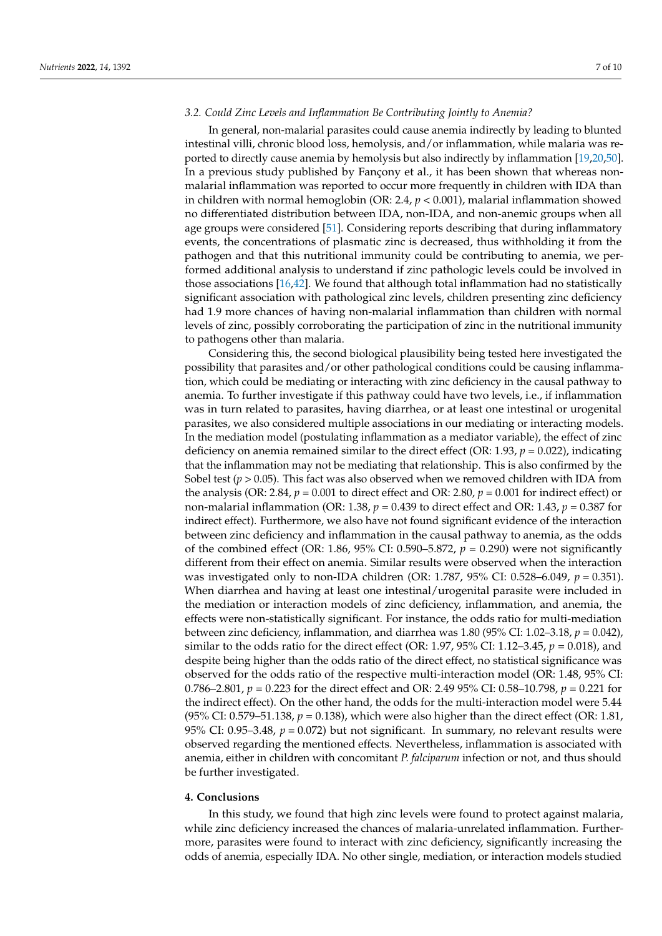## *3.2. Could Zinc Levels and Inflammation Be Contributing Jointly to Anemia?*

In general, non-malarial parasites could cause anemia indirectly by leading to blunted intestinal villi, chronic blood loss, hemolysis, and/or inflammation, while malaria was reported to directly cause anemia by hemolysis but also indirectly by inflammation [\[19](#page-8-3)[,20](#page-8-4)[,50\]](#page-9-7). In a previous study published by Fançony et al., it has been shown that whereas nonmalarial inflammation was reported to occur more frequently in children with IDA than in children with normal hemoglobin (OR: 2.4, *p* < 0.001), malarial inflammation showed no differentiated distribution between IDA, non-IDA, and non-anemic groups when all age groups were considered [\[51\]](#page-9-8). Considering reports describing that during inflammatory events, the concentrations of plasmatic zinc is decreased, thus withholding it from the pathogen and that this nutritional immunity could be contributing to anemia, we performed additional analysis to understand if zinc pathologic levels could be involved in those associations [\[16,](#page-8-23)[42\]](#page-8-25). We found that although total inflammation had no statistically significant association with pathological zinc levels, children presenting zinc deficiency had 1.9 more chances of having non-malarial inflammation than children with normal levels of zinc, possibly corroborating the participation of zinc in the nutritional immunity to pathogens other than malaria.

Considering this, the second biological plausibility being tested here investigated the possibility that parasites and/or other pathological conditions could be causing inflammation, which could be mediating or interacting with zinc deficiency in the causal pathway to anemia. To further investigate if this pathway could have two levels, i.e., if inflammation was in turn related to parasites, having diarrhea, or at least one intestinal or urogenital parasites, we also considered multiple associations in our mediating or interacting models. In the mediation model (postulating inflammation as a mediator variable), the effect of zinc deficiency on anemia remained similar to the direct effect (OR: 1.93, *p* = 0.022), indicating that the inflammation may not be mediating that relationship. This is also confirmed by the Sobel test (*p* > 0.05). This fact was also observed when we removed children with IDA from the analysis (OR: 2.84,  $p = 0.001$  to direct effect and OR: 2.80,  $p = 0.001$  for indirect effect) or non-malarial inflammation (OR: 1.38, *p* = 0.439 to direct effect and OR: 1.43, *p* = 0.387 for indirect effect). Furthermore, we also have not found significant evidence of the interaction between zinc deficiency and inflammation in the causal pathway to anemia, as the odds of the combined effect (OR: 1.86, 95% CI: 0.590–5.872,  $p = 0.290$ ) were not significantly different from their effect on anemia. Similar results were observed when the interaction was investigated only to non-IDA children (OR: 1.787, 95% CI: 0.528–6.049, *p* = 0.351). When diarrhea and having at least one intestinal/urogenital parasite were included in the mediation or interaction models of zinc deficiency, inflammation, and anemia, the effects were non-statistically significant. For instance, the odds ratio for multi-mediation between zinc deficiency, inflammation, and diarrhea was 1.80 (95% CI: 1.02–3.18, *p* = 0.042), similar to the odds ratio for the direct effect (OR: 1.97, 95% CI: 1.12–3.45, *p* = 0.018), and despite being higher than the odds ratio of the direct effect, no statistical significance was observed for the odds ratio of the respective multi-interaction model (OR: 1.48, 95% CI: 0.786–2.801, *p* = 0.223 for the direct effect and OR: 2.49 95% CI: 0.58–10.798, *p* = 0.221 for the indirect effect). On the other hand, the odds for the multi-interaction model were 5.44 (95% CI: 0.579–51.138,  $p = 0.138$ ), which were also higher than the direct effect (OR: 1.81, 95% CI:  $0.95-3.48$ ,  $p = 0.072$ ) but not significant. In summary, no relevant results were observed regarding the mentioned effects. Nevertheless, inflammation is associated with anemia, either in children with concomitant *P. falciparum* infection or not, and thus should be further investigated.

## **4. Conclusions**

In this study, we found that high zinc levels were found to protect against malaria, while zinc deficiency increased the chances of malaria-unrelated inflammation. Furthermore, parasites were found to interact with zinc deficiency, significantly increasing the odds of anemia, especially IDA. No other single, mediation, or interaction models studied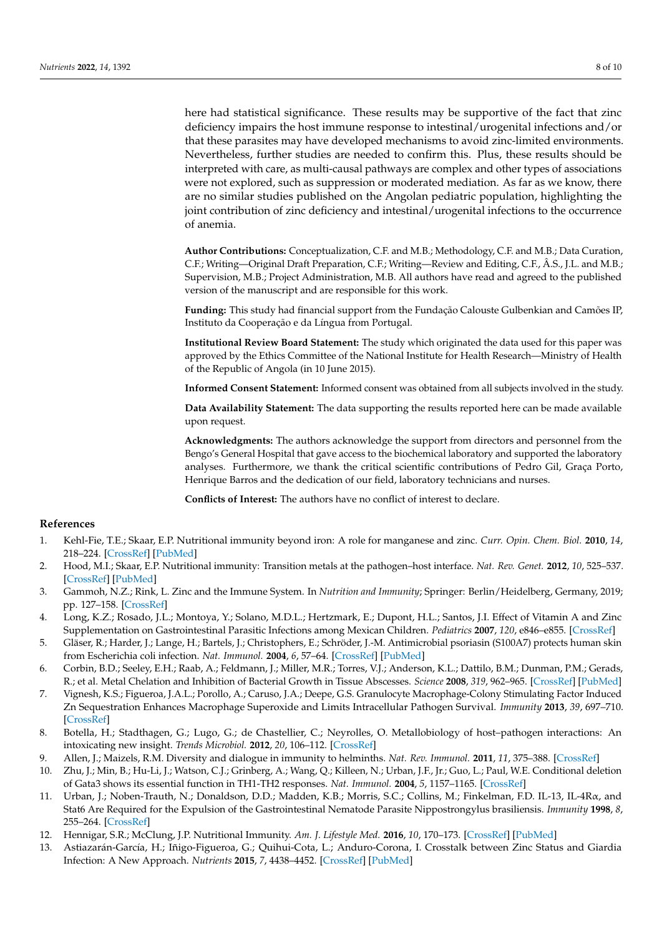here had statistical significance. These results may be supportive of the fact that zinc deficiency impairs the host immune response to intestinal/urogenital infections and/or that these parasites may have developed mechanisms to avoid zinc-limited environments. Nevertheless, further studies are needed to confirm this. Plus, these results should be interpreted with care, as multi-causal pathways are complex and other types of associations were not explored, such as suppression or moderated mediation. As far as we know, there are no similar studies published on the Angolan pediatric population, highlighting the joint contribution of zinc deficiency and intestinal/urogenital infections to the occurrence of anemia.

**Author Contributions:** Conceptualization, C.F. and M.B.; Methodology, C.F. and M.B.; Data Curation, C.F.; Writing—Original Draft Preparation, C.F.; Writing—Review and Editing, C.F., Â.S., J.L. and M.B.; Supervision, M.B.; Project Administration, M.B. All authors have read and agreed to the published version of the manuscript and are responsible for this work.

**Funding:** This study had financial support from the Fundação Calouste Gulbenkian and Camões IP, Instituto da Cooperação e da Língua from Portugal.

**Institutional Review Board Statement:** The study which originated the data used for this paper was approved by the Ethics Committee of the National Institute for Health Research—Ministry of Health of the Republic of Angola (in 10 June 2015).

**Informed Consent Statement:** Informed consent was obtained from all subjects involved in the study.

**Data Availability Statement:** The data supporting the results reported here can be made available upon request.

**Acknowledgments:** The authors acknowledge the support from directors and personnel from the Bengo's General Hospital that gave access to the biochemical laboratory and supported the laboratory analyses. Furthermore, we thank the critical scientific contributions of Pedro Gil, Graça Porto, Henrique Barros and the dedication of our field, laboratory technicians and nurses.

**Conflicts of Interest:** The authors have no conflict of interest to declare.

# **References**

- <span id="page-7-0"></span>1. Kehl-Fie, T.E.; Skaar, E.P. Nutritional immunity beyond iron: A role for manganese and zinc. *Curr. Opin. Chem. Biol.* **2010**, *14*, 218–224. [\[CrossRef\]](http://doi.org/10.1016/j.cbpa.2009.11.008) [\[PubMed\]](http://www.ncbi.nlm.nih.gov/pubmed/20015678)
- <span id="page-7-1"></span>2. Hood, M.I.; Skaar, E.P. Nutritional immunity: Transition metals at the pathogen–host interface. *Nat. Rev. Genet.* **2012**, *10*, 525–537. [\[CrossRef\]](http://doi.org/10.1038/nrmicro2836) [\[PubMed\]](http://www.ncbi.nlm.nih.gov/pubmed/22796883)
- <span id="page-7-2"></span>3. Gammoh, N.Z.; Rink, L. Zinc and the Immune System. In *Nutrition and Immunity*; Springer: Berlin/Heidelberg, Germany, 2019; pp. 127–158. [\[CrossRef\]](http://doi.org/10.1007/978-3-030-16073-9_8)
- <span id="page-7-3"></span>4. Long, K.Z.; Rosado, J.L.; Montoya, Y.; Solano, M.D.L.; Hertzmark, E.; Dupont, H.L.; Santos, J.I. Effect of Vitamin A and Zinc Supplementation on Gastrointestinal Parasitic Infections among Mexican Children. *Pediatrics* **2007**, *120*, e846–e855. [\[CrossRef\]](http://doi.org/10.1542/peds.2006-2187)
- <span id="page-7-4"></span>5. Gläser, R.; Harder, J.; Lange, H.; Bartels, J.; Christophers, E.; Schröder, J.-M. Antimicrobial psoriasin (S100A7) protects human skin from Escherichia coli infection. *Nat. Immunol.* **2004**, *6*, 57–64. [\[CrossRef\]](http://doi.org/10.1038/ni1142) [\[PubMed\]](http://www.ncbi.nlm.nih.gov/pubmed/15568027)
- 6. Corbin, B.D.; Seeley, E.H.; Raab, A.; Feldmann, J.; Miller, M.R.; Torres, V.J.; Anderson, K.L.; Dattilo, B.M.; Dunman, P.M.; Gerads, R.; et al. Metal Chelation and Inhibition of Bacterial Growth in Tissue Abscesses. *Science* **2008**, *319*, 962–965. [\[CrossRef\]](http://doi.org/10.1126/science.1152449) [\[PubMed\]](http://www.ncbi.nlm.nih.gov/pubmed/18276893)
- 7. Vignesh, K.S.; Figueroa, J.A.L.; Porollo, A.; Caruso, J.A.; Deepe, G.S. Granulocyte Macrophage-Colony Stimulating Factor Induced Zn Sequestration Enhances Macrophage Superoxide and Limits Intracellular Pathogen Survival. *Immunity* **2013**, *39*, 697–710. [\[CrossRef\]](http://doi.org/10.1016/j.immuni.2013.09.006)
- <span id="page-7-5"></span>8. Botella, H.; Stadthagen, G.; Lugo, G.; de Chastellier, C.; Neyrolles, O. Metallobiology of host–pathogen interactions: An intoxicating new insight. *Trends Microbiol.* **2012**, *20*, 106–112. [\[CrossRef\]](http://doi.org/10.1016/j.tim.2012.01.005)
- <span id="page-7-6"></span>9. Allen, J.; Maizels, R.M. Diversity and dialogue in immunity to helminths. *Nat. Rev. Immunol.* **2011**, *11*, 375–388. [\[CrossRef\]](http://doi.org/10.1038/nri2992)
- <span id="page-7-9"></span>10. Zhu, J.; Min, B.; Hu-Li, J.; Watson, C.J.; Grinberg, A.; Wang, Q.; Killeen, N.; Urban, J.F., Jr.; Guo, L.; Paul, W.E. Conditional deletion of Gata3 shows its essential function in TH1-TH2 responses. *Nat. Immunol.* **2004**, *5*, 1157–1165. [\[CrossRef\]](http://doi.org/10.1038/ni1128)
- <span id="page-7-7"></span>11. Urban, J.; Noben-Trauth, N.; Donaldson, D.D.; Madden, K.B.; Morris, S.C.; Collins, M.; Finkelman, F.D. IL-13, IL-4Rα, and Stat6 Are Required for the Expulsion of the Gastrointestinal Nematode Parasite Nippostrongylus brasiliensis. *Immunity* **1998**, *8*, 255–264. [\[CrossRef\]](http://doi.org/10.1016/S1074-7613(00)80477-X)
- <span id="page-7-8"></span>12. Hennigar, S.R.; McClung, J.P. Nutritional Immunity. *Am. J. Lifestyle Med.* **2016**, *10*, 170–173. [\[CrossRef\]](http://doi.org/10.1177/1559827616629117) [\[PubMed\]](http://www.ncbi.nlm.nih.gov/pubmed/30202269)
- <span id="page-7-10"></span>13. Astiazarán-García, H.; Iñigo-Figueroa, G.; Quihui-Cota, L.; Anduro-Corona, I. Crosstalk between Zinc Status and Giardia Infection: A New Approach. *Nutrients* **2015**, *7*, 4438–4452. [\[CrossRef\]](http://doi.org/10.3390/nu7064438) [\[PubMed\]](http://www.ncbi.nlm.nih.gov/pubmed/26046395)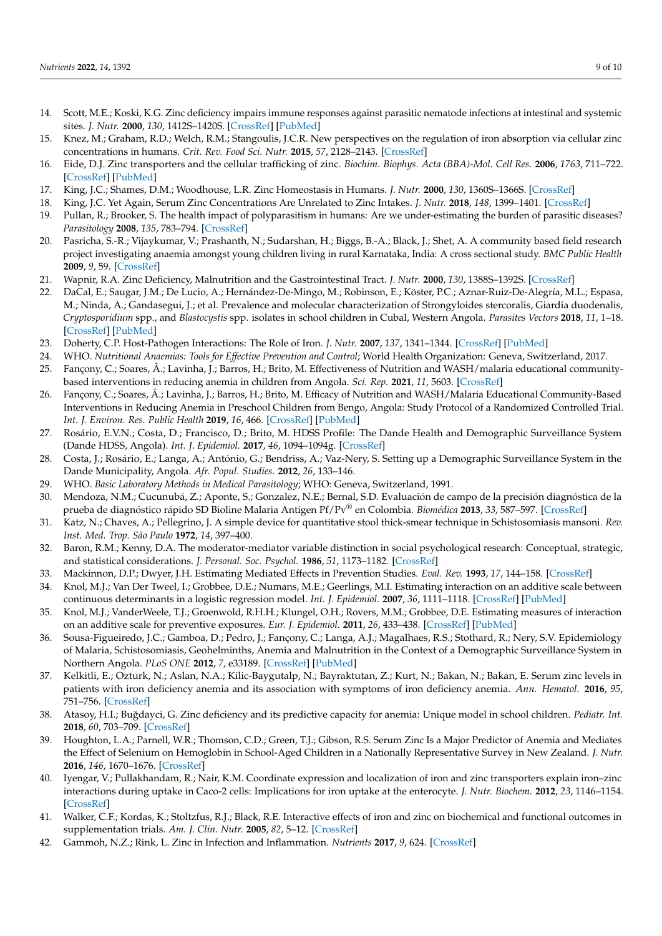- <span id="page-8-0"></span>14. Scott, M.E.; Koski, K.G. Zinc deficiency impairs immune responses against parasitic nematode infections at intestinal and systemic sites. *J. Nutr.* **2000**, *130*, 1412S–1420S. [\[CrossRef\]](http://doi.org/10.1093/jn/130.5.1412S) [\[PubMed\]](http://www.ncbi.nlm.nih.gov/pubmed/10801953)
- <span id="page-8-1"></span>15. Knez, M.; Graham, R.D.; Welch, R.M.; Stangoulis, J.C.R. New perspectives on the regulation of iron absorption via cellular zinc concentrations in humans. *Crit. Rev. Food Sci. Nutr.* **2015**, *57*, 2128–2143. [\[CrossRef\]](http://doi.org/10.1080/10408398.2015.1050483)
- <span id="page-8-23"></span>16. Eide, D.J. Zinc transporters and the cellular trafficking of zinc. *Biochim. Biophys. Acta (BBA)-Mol. Cell Res.* **2006**, *1763*, 711–722. [\[CrossRef\]](http://doi.org/10.1016/j.bbamcr.2006.03.005) [\[PubMed\]](http://www.ncbi.nlm.nih.gov/pubmed/16675045)
- 17. King, J.C.; Shames, D.M.; Woodhouse, L.R. Zinc Homeostasis in Humans. *J. Nutr.* **2000**, *130*, 1360S–1366S. [\[CrossRef\]](http://doi.org/10.1093/jn/130.5.1360S)
- <span id="page-8-2"></span>18. King, J.C. Yet Again, Serum Zinc Concentrations Are Unrelated to Zinc Intakes. *J. Nutr.* **2018**, *148*, 1399–1401. [\[CrossRef\]](http://doi.org/10.1093/jn/nxy190)
- <span id="page-8-3"></span>19. Pullan, R.; Brooker, S. The health impact of polyparasitism in humans: Are we under-estimating the burden of parasitic diseases? *Parasitology* **2008**, *135*, 783–794. [\[CrossRef\]](http://doi.org/10.1017/S0031182008000346)
- <span id="page-8-4"></span>20. Pasricha, S.-R.; Vijaykumar, V.; Prashanth, N.; Sudarshan, H.; Biggs, B.-A.; Black, J.; Shet, A. A community based field research project investigating anaemia amongst young children living in rural Karnataka, India: A cross sectional study. *BMC Public Health* **2009**, *9*, 59. [\[CrossRef\]](http://doi.org/10.1186/1471-2458-9-59)
- <span id="page-8-5"></span>21. Wapnir, R.A. Zinc Deficiency, Malnutrition and the Gastrointestinal Tract. *J. Nutr.* **2000**, *130*, 1388S–1392S. [\[CrossRef\]](http://doi.org/10.1093/jn/130.5.1388S)
- <span id="page-8-6"></span>22. DaCal, E.; Saugar, J.M.; De Lucio, A.; Hernández-De-Mingo, M.; Robinson, E.; Köster, P.C.; Aznar-Ruiz-De-Alegría, M.L.; Espasa, M.; Ninda, A.; Gandasegui, J.; et al. Prevalence and molecular characterization of Strongyloides stercoralis, Giardia duodenalis, *Cryptosporidium* spp., and *Blastocystis* spp. isolates in school children in Cubal, Western Angola. *Parasites Vectors* **2018**, *11*, 1–18. [\[CrossRef\]](http://doi.org/10.1186/s13071-018-2640-z) [\[PubMed\]](http://www.ncbi.nlm.nih.gov/pubmed/29378626)
- <span id="page-8-7"></span>23. Doherty, C.P. Host-Pathogen Interactions: The Role of Iron. *J. Nutr.* **2007**, *137*, 1341–1344. [\[CrossRef\]](http://doi.org/10.1093/jn/137.5.1341) [\[PubMed\]](http://www.ncbi.nlm.nih.gov/pubmed/17449603)
- <span id="page-8-8"></span>24. WHO. Nutritional Anaemias: Tools for Effective Prevention and Control; World Health Organization: Geneva, Switzerland, 2017.
- <span id="page-8-9"></span>25. Fançony, C.; Soares, Â.; Lavinha, J.; Barros, H.; Brito, M. Effectiveness of Nutrition and WASH/malaria educational communitybased interventions in reducing anemia in children from Angola. *Sci. Rep.* **2021**, *11*, 5603. [\[CrossRef\]](http://doi.org/10.1038/s41598-021-85006-x)
- <span id="page-8-10"></span>26. Fançony, C.; Soares, Â.; Lavinha, J.; Barros, H.; Brito, M. Efficacy of Nutrition and WASH/Malaria Educational Community-Based Interventions in Reducing Anemia in Preschool Children from Bengo, Angola: Study Protocol of a Randomized Controlled Trial. *Int. J. Environ. Res. Public Health* **2019**, *16*, 466. [\[CrossRef\]](http://doi.org/10.3390/ijerph16030466) [\[PubMed\]](http://www.ncbi.nlm.nih.gov/pubmed/30764549)
- <span id="page-8-11"></span>27. Rosário, E.V.N.; Costa, D.; Francisco, D.; Brito, M. HDSS Profile: The Dande Health and Demographic Surveillance System (Dande HDSS, Angola). *Int. J. Epidemiol.* **2017**, *46*, 1094–1094g. [\[CrossRef\]](http://doi.org/10.1093/ije/dyx072)
- <span id="page-8-12"></span>28. Costa, J.; Rosário, E.; Langa, A.; António, G.; Bendriss, A.; Vaz-Nery, S. Setting up a Demographic Surveillance System in the Dande Municipality, Angola. *Afr. Popul. Studies.* **2012**, *26*, 133–146.
- <span id="page-8-13"></span>29. WHO. *Basic Laboratory Methods in Medical Parasitology*; WHO: Geneva, Switzerland, 1991.
- <span id="page-8-15"></span>30. Mendoza, N.M.; Cucunubá, Z.; Aponte, S.; Gonzalez, N.E.; Bernal, S.D. Evaluación de campo de la precisión diagnóstica de la prueba de diagnóstico rápido SD Bioline Malaria Antigen Pf/Pv® en Colombia. *Biomédica* **2013**, *33*, 587–597. [\[CrossRef\]](http://doi.org/10.7705/biomedica.v33i4.1464)
- <span id="page-8-14"></span>31. Katz, N.; Chaves, A.; Pellegrino, J. A simple device for quantitative stool thick-smear technique in Schistosomiasis mansoni. *Rev. Inst. Med. Trop. São Paulo* **1972**, *14*, 397–400.
- <span id="page-8-16"></span>32. Baron, R.M.; Kenny, D.A. The moderator-mediator variable distinction in social psychological research: Conceptual, strategic, and statistical considerations. *J. Personal. Soc. Psychol.* **1986**, *51*, 1173–1182. [\[CrossRef\]](http://doi.org/10.1037/0022-3514.51.6.1173)
- <span id="page-8-17"></span>33. Mackinnon, D.P.; Dwyer, J.H. Estimating Mediated Effects in Prevention Studies. *Eval. Rev.* **1993**, *17*, 144–158. [\[CrossRef\]](http://doi.org/10.1177/0193841X9301700202)
- <span id="page-8-18"></span>34. Knol, M.J.; Van Der Tweel, I.; Grobbee, D.E.; Numans, M.E.; Geerlings, M.I. Estimating interaction on an additive scale between continuous determinants in a logistic regression model. *Int. J. Epidemiol.* **2007**, *36*, 1111–1118. [\[CrossRef\]](http://doi.org/10.1093/ije/dym157) [\[PubMed\]](http://www.ncbi.nlm.nih.gov/pubmed/17726040)
- <span id="page-8-19"></span>35. Knol, M.J.; VanderWeele, T.J.; Groenwold, R.H.H.; Klungel, O.H.; Rovers, M.M.; Grobbee, D.E. Estimating measures of interaction on an additive scale for preventive exposures. *Eur. J. Epidemiol.* **2011**, *26*, 433–438. [\[CrossRef\]](http://doi.org/10.1007/s10654-011-9554-9) [\[PubMed\]](http://www.ncbi.nlm.nih.gov/pubmed/21344323)
- <span id="page-8-20"></span>36. Sousa-Figueiredo, J.C.; Gamboa, D.; Pedro, J.; Fançony, C.; Langa, A.J.; Magalhaes, R.S.; Stothard, R.; Nery, S.V. Epidemiology of Malaria, Schistosomiasis, Geohelminths, Anemia and Malnutrition in the Context of a Demographic Surveillance System in Northern Angola. *PLoS ONE* **2012**, *7*, e33189. [\[CrossRef\]](http://doi.org/10.1371/journal.pone.0033189) [\[PubMed\]](http://www.ncbi.nlm.nih.gov/pubmed/22493664)
- <span id="page-8-21"></span>37. Kelkitli, E.; Ozturk, N.; Aslan, N.A.; Kilic-Baygutalp, N.; Bayraktutan, Z.; Kurt, N.; Bakan, N.; Bakan, E. Serum zinc levels in patients with iron deficiency anemia and its association with symptoms of iron deficiency anemia. *Ann. Hematol.* **2016**, *95*, 751–756. [\[CrossRef\]](http://doi.org/10.1007/s00277-016-2628-8)
- <span id="page-8-24"></span>38. Atasoy, H.I.; Buğdayci, G. Zinc deficiency and its predictive capacity for anemia: Unique model in school children. *Pediatr. Int.* **2018**, *60*, 703–709. [\[CrossRef\]](http://doi.org/10.1111/ped.13603)
- <span id="page-8-22"></span>39. Houghton, L.A.; Parnell, W.R.; Thomson, C.D.; Green, T.J.; Gibson, R.S. Serum Zinc Is a Major Predictor of Anemia and Mediates the Effect of Selenium on Hemoglobin in School-Aged Children in a Nationally Representative Survey in New Zealand. *J. Nutr.* **2016**, *146*, 1670–1676. [\[CrossRef\]](http://doi.org/10.3945/jn.116.235127)
- 40. Iyengar, V.; Pullakhandam, R.; Nair, K.M. Coordinate expression and localization of iron and zinc transporters explain iron–zinc interactions during uptake in Caco-2 cells: Implications for iron uptake at the enterocyte. *J. Nutr. Biochem.* **2012**, *23*, 1146–1154. [\[CrossRef\]](http://doi.org/10.1016/j.jnutbio.2011.06.008)
- 41. Walker, C.F.; Kordas, K.; Stoltzfus, R.J.; Black, R.E. Interactive effects of iron and zinc on biochemical and functional outcomes in supplementation trials. *Am. J. Clin. Nutr.* **2005**, *82*, 5–12. [\[CrossRef\]](http://doi.org/10.1093/ajcn/82.1.5)
- <span id="page-8-25"></span>42. Gammoh, N.Z.; Rink, L. Zinc in Infection and Inflammation. *Nutrients* **2017**, *9*, 624. [\[CrossRef\]](http://doi.org/10.3390/nu9060624)